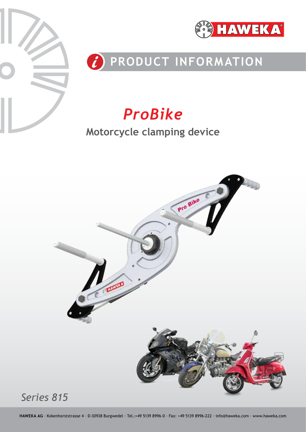



# *C* PRODUCT INFORMATION

# *ProBike*

# **Motorcycle clamping device**

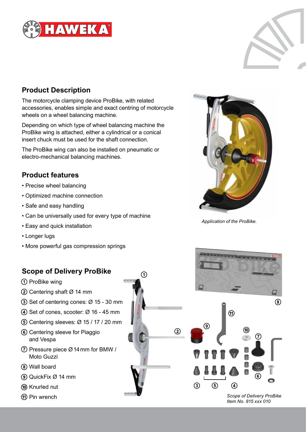



## **Product Description**

The motorcycle clamping device ProBike, with related accessories, enables simple and exact centring of motorcycle wheels on a wheel balancing machine.

Depending on which type of wheel balancing machine the ProBike wing is attached, either a cylindrical or a conical insert chuck must be used for the shaft connection.

The ProBike wing can also be installed on pneumatic or electro-mechanical balancing machines.

#### **Product features**

- Precise wheel balancing
- Optimized machine connection
- Safe and easy handling
- Can be universally used for every type of machine

art art.

- Easy and quick installation
- Longer lugs
- More powerful gas compression springs

## **Scope of Delivery ProBike**

- ProBike wing
- Centering shaft Ø 14 mm
- $\overline{3}$  Set of centering cones:  $\varnothing$  15 30 mm
- $\overline{4}$ ) Set of cones, scooter:  $\varnothing$  16 45 mm
- Centering sleeves: Ø 15 / 17 / 20 mm
- Centering sleeve for Piaggio and Vespa
- $(7)$  Pressure piece  $\varnothing$  14 mm for BMW / Moto Guzzi
- Wall board
- QuickFix Ø 14 mm
- (10) Knurled nut
- 



*Application of the ProBike.*



*Item No. 815 xxx 010*

(8)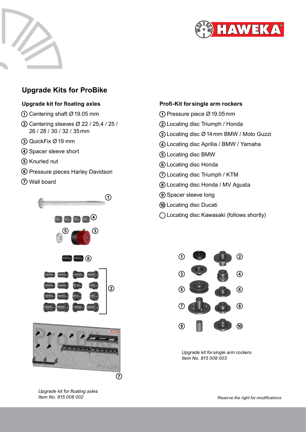



### **Upgrade Kits for ProBike**

#### **Upgrade kit for floating axles**

- Centering shaft Ø19.05 mm
- Centering sleeves Ø 22 / 25,4 / 25 / 26 / 28 / 30 / 32 / 35mm
- QuickFix Ø19 mm
- 4) Spacer sleeve short
- (5) Knurled nut
- Pressure pieces Harley Davidson
- Wall board







*Upgrade kit for floating axles Item No. 815 008 002*

#### **Profi-Kit forsingle arm rockers**

- Pressure piece Ø19.05mm
- Locating disc Triumph / Honda
- Locating disc Ø14mm BMW / Moto Guzzi
- Locating disc Aprilia / BMW / Yamaha
- Locating disc BMW
- Locating disc Honda
- Locating disc Triumph / KTM
- Locating disc Honda / MV Agusta
- Spacer sleeve long
- Locating disc Ducati
- Locating disc Kawasaki (follows shortly)



*Upgrade kit forsingle arm rockers Item No. 815 008 003*